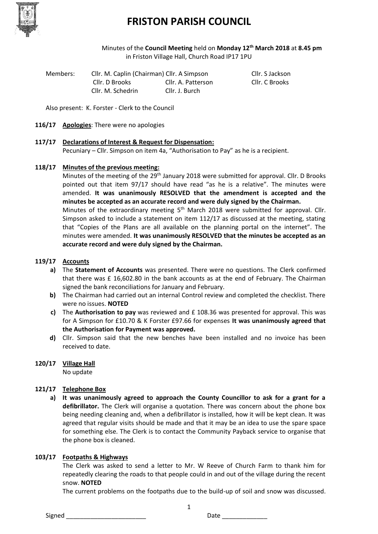

### **FRISTON PARISH COUNCIL**

Minutes of the **Council Meeting** held on **Monday 12th March 2018** at **8.45 pm** in Friston Village Hall, Church Road IP17 1PU

Members: Cllr. M. Caplin (Chairman) Cllr. A Simpson Cllr. S Jackson Cllr. D Brooks Cllr. A. Patterson Cllr. C Brooks Cllr. M. Schedrin Cllr. J. Burch

Also present: K. Forster - Clerk to the Council

**116/17 Apologies**: There were no apologies

#### **117/17 Declarations of Interest & Request for Dispensation:**

Pecuniary – Cllr. Simpson on item 4a, "Authorisation to Pay" as he is a recipient.

#### **118/17 Minutes of the previous meeting:**

Minutes of the meeting of the 29<sup>th</sup> January 2018 were submitted for approval. Cllr. D Brooks pointed out that item 97/17 should have read "as he is a relative". The minutes were amended. **It was unanimously RESOLVED that the amendment is accepted and the minutes be accepted as an accurate record and were duly signed by the Chairman.**

Minutes of the extraordinary meeting 5<sup>th</sup> March 2018 were submitted for approval. Cllr. Simpson asked to include a statement on item 112/17 as discussed at the meeting, stating that "Copies of the Plans are all available on the planning portal on the internet". The minutes were amended. **It was unanimously RESOLVED that the minutes be accepted as an accurate record and were duly signed by the Chairman.**

#### **119/17 Accounts**

- **a)** The **Statement of Accounts** was presented. There were no questions. The Clerk confirmed that there was £ 16,602.80 in the bank accounts as at the end of February. The Chairman signed the bank reconciliations for January and February.
- **b)** The Chairman had carried out an internal Control review and completed the checklist. There were no issues. **NOTED**
- **c)** The **Authorisation to pay** was reviewed and £ 108.36 was presented for approval. This was for A Simpson for £10.70 & K Forster £97.66 for expenses **It was unanimously agreed that the Authorisation for Payment was approved.**
- **d)** Cllr. Simpson said that the new benches have been installed and no invoice has been received to date.

#### **120/17 Village Hall**

No update

#### **121/17 Telephone Box**

**a) It was unanimously agreed to approach the County Councillor to ask for a grant for a defibrillator.** The Clerk will organise a quotation. There was concern about the phone box being needing cleaning and, when a defibrillator is installed, how it will be kept clean. It was agreed that regular visits should be made and that it may be an idea to use the spare space for something else. The Clerk is to contact the Community Payback service to organise that the phone box is cleaned.

#### **103/17 Footpaths & Highways**

The Clerk was asked to send a letter to Mr. W Reeve of Church Farm to thank him for repeatedly clearing the roads to that people could in and out of the village during the recent snow. **NOTED**

The current problems on the footpaths due to the build-up of soil and snow was discussed.

1

Signed \_\_\_\_\_\_\_\_\_\_\_\_\_\_\_\_\_\_\_\_\_\_\_ Date \_\_\_\_\_\_\_\_\_\_\_\_\_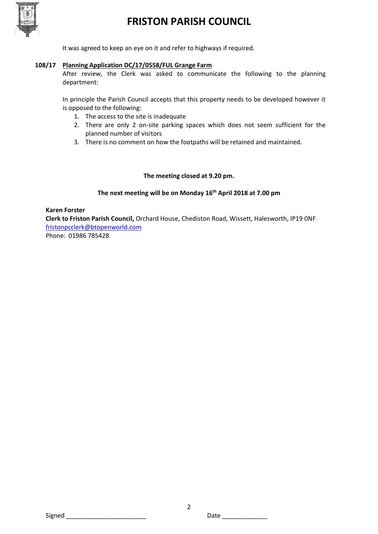

### **FRISTON PARISH COUNCIL**

It was agreed to keep an eye on it and refer to highways if required.

#### **108/17 Planning Application DC/17/0558/FUL Grange Farm**

After review, the Clerk was asked to communicate the following to the planning department:

In principle the Parish Council accepts that this property needs to be developed however it is opposed to the following:

- 1. The access to the site is inadequate
- 2. There are only 2 on-site parking spaces which does not seem sufficient for the planned number of visitors
- 3. There is no comment on how the footpaths will be retained and maintained.

#### **The meeting closed at 9.20 pm.**

#### **The next meeting will be on Monday 16th April 2018 at 7.00 pm**

#### **Karen Forster**

**Clerk to Friston Parish Council,** Orchard House, Chediston Road, Wissett, Halesworth, IP19 0NF [fristonpcclerk@btopenworld.com](mailto:fristonpcclerk@btopenworld.com)

Phone: 01986 785428

Signed \_\_\_\_\_\_\_\_\_\_\_\_\_\_\_\_\_\_\_\_\_\_\_ Date \_\_\_\_\_\_\_\_\_\_\_\_\_

2